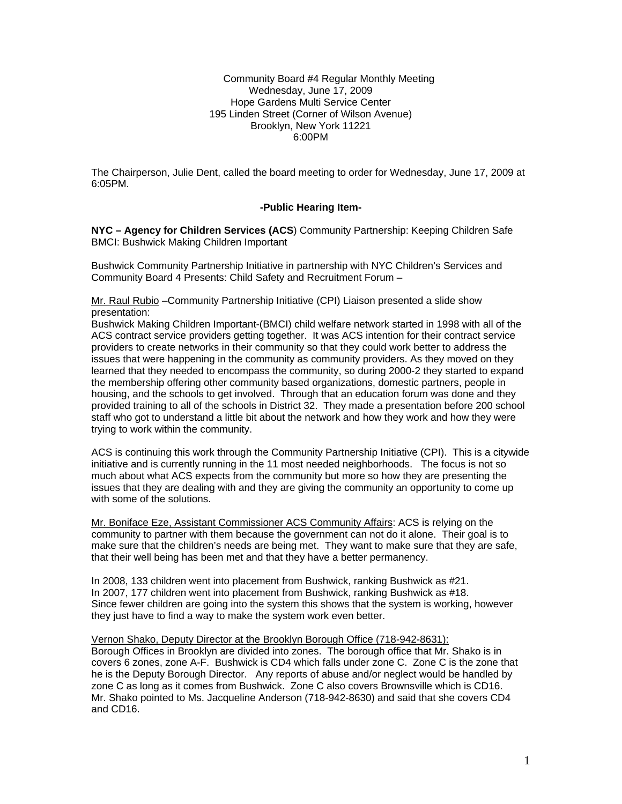Community Board #4 Regular Monthly Meeting Wednesday, June 17, 2009 Hope Gardens Multi Service Center 195 Linden Street (Corner of Wilson Avenue) Brooklyn, New York 11221 6:00PM

The Chairperson, Julie Dent, called the board meeting to order for Wednesday, June 17, 2009 at 6:05PM.

# **-Public Hearing Item-**

**NYC – Agency for Children Services (ACS**) Community Partnership: Keeping Children Safe BMCI: Bushwick Making Children Important

Bushwick Community Partnership Initiative in partnership with NYC Children's Services and Community Board 4 Presents: Child Safety and Recruitment Forum –

Mr. Raul Rubio –Community Partnership Initiative (CPI) Liaison presented a slide show presentation:

Bushwick Making Children Important-(BMCI) child welfare network started in 1998 with all of the ACS contract service providers getting together. It was ACS intention for their contract service providers to create networks in their community so that they could work better to address the issues that were happening in the community as community providers. As they moved on they learned that they needed to encompass the community, so during 2000-2 they started to expand the membership offering other community based organizations, domestic partners, people in housing, and the schools to get involved. Through that an education forum was done and they provided training to all of the schools in District 32. They made a presentation before 200 school staff who got to understand a little bit about the network and how they work and how they were trying to work within the community.

ACS is continuing this work through the Community Partnership Initiative (CPI). This is a citywide initiative and is currently running in the 11 most needed neighborhoods. The focus is not so much about what ACS expects from the community but more so how they are presenting the issues that they are dealing with and they are giving the community an opportunity to come up with some of the solutions.

Mr. Boniface Eze, Assistant Commissioner ACS Community Affairs: ACS is relying on the community to partner with them because the government can not do it alone. Their goal is to make sure that the children's needs are being met. They want to make sure that they are safe, that their well being has been met and that they have a better permanency.

In 2008, 133 children went into placement from Bushwick, ranking Bushwick as #21. In 2007, 177 children went into placement from Bushwick, ranking Bushwick as #18. Since fewer children are going into the system this shows that the system is working, however they just have to find a way to make the system work even better.

Vernon Shako, Deputy Director at the Brooklyn Borough Office (718-942-8631): Borough Offices in Brooklyn are divided into zones. The borough office that Mr. Shako is in covers 6 zones, zone A-F. Bushwick is CD4 which falls under zone C. Zone C is the zone that he is the Deputy Borough Director. Any reports of abuse and/or neglect would be handled by zone C as long as it comes from Bushwick. Zone C also covers Brownsville which is CD16. Mr. Shako pointed to Ms. Jacqueline Anderson (718-942-8630) and said that she covers CD4 and CD16.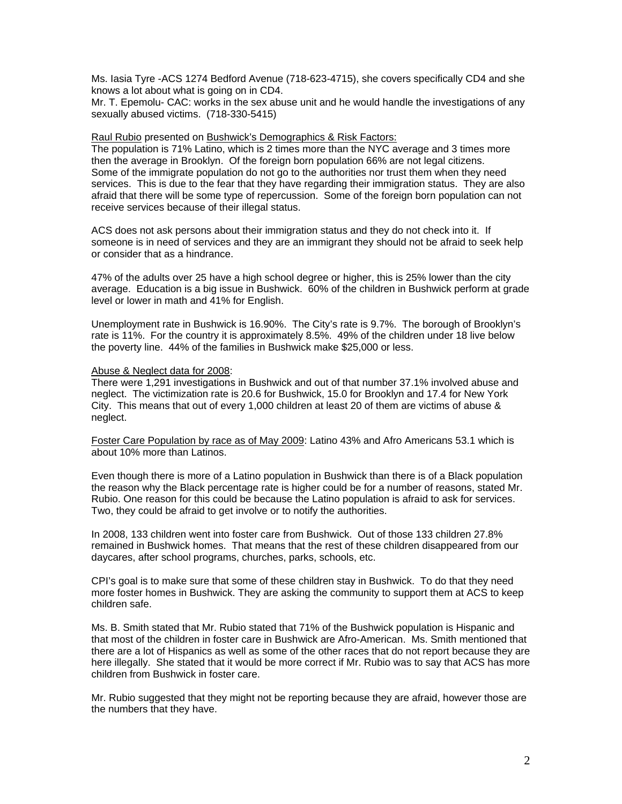Ms. Iasia Tyre -ACS 1274 Bedford Avenue (718-623-4715), she covers specifically CD4 and she knows a lot about what is going on in CD4.

Mr. T. Epemolu- CAC: works in the sex abuse unit and he would handle the investigations of any sexually abused victims. (718-330-5415)

#### Raul Rubio presented on Bushwick's Demographics & Risk Factors:

The population is 71% Latino, which is 2 times more than the NYC average and 3 times more then the average in Brooklyn. Of the foreign born population 66% are not legal citizens. Some of the immigrate population do not go to the authorities nor trust them when they need services. This is due to the fear that they have regarding their immigration status. They are also afraid that there will be some type of repercussion. Some of the foreign born population can not receive services because of their illegal status.

ACS does not ask persons about their immigration status and they do not check into it. If someone is in need of services and they are an immigrant they should not be afraid to seek help or consider that as a hindrance.

47% of the adults over 25 have a high school degree or higher, this is 25% lower than the city average. Education is a big issue in Bushwick. 60% of the children in Bushwick perform at grade level or lower in math and 41% for English.

Unemployment rate in Bushwick is 16.90%. The City's rate is 9.7%. The borough of Brooklyn's rate is 11%. For the country it is approximately 8.5%. 49% of the children under 18 live below the poverty line. 44% of the families in Bushwick make \$25,000 or less.

### Abuse & Neglect data for 2008:

There were 1,291 investigations in Bushwick and out of that number 37.1% involved abuse and neglect. The victimization rate is 20.6 for Bushwick, 15.0 for Brooklyn and 17.4 for New York City. This means that out of every 1,000 children at least 20 of them are victims of abuse & neglect.

Foster Care Population by race as of May 2009: Latino 43% and Afro Americans 53.1 which is about 10% more than Latinos.

Even though there is more of a Latino population in Bushwick than there is of a Black population the reason why the Black percentage rate is higher could be for a number of reasons, stated Mr. Rubio. One reason for this could be because the Latino population is afraid to ask for services. Two, they could be afraid to get involve or to notify the authorities.

In 2008, 133 children went into foster care from Bushwick. Out of those 133 children 27.8% remained in Bushwick homes. That means that the rest of these children disappeared from our daycares, after school programs, churches, parks, schools, etc.

CPI's goal is to make sure that some of these children stay in Bushwick. To do that they need more foster homes in Bushwick. They are asking the community to support them at ACS to keep children safe.

Ms. B. Smith stated that Mr. Rubio stated that 71% of the Bushwick population is Hispanic and that most of the children in foster care in Bushwick are Afro-American. Ms. Smith mentioned that there are a lot of Hispanics as well as some of the other races that do not report because they are here illegally. She stated that it would be more correct if Mr. Rubio was to say that ACS has more children from Bushwick in foster care.

Mr. Rubio suggested that they might not be reporting because they are afraid, however those are the numbers that they have.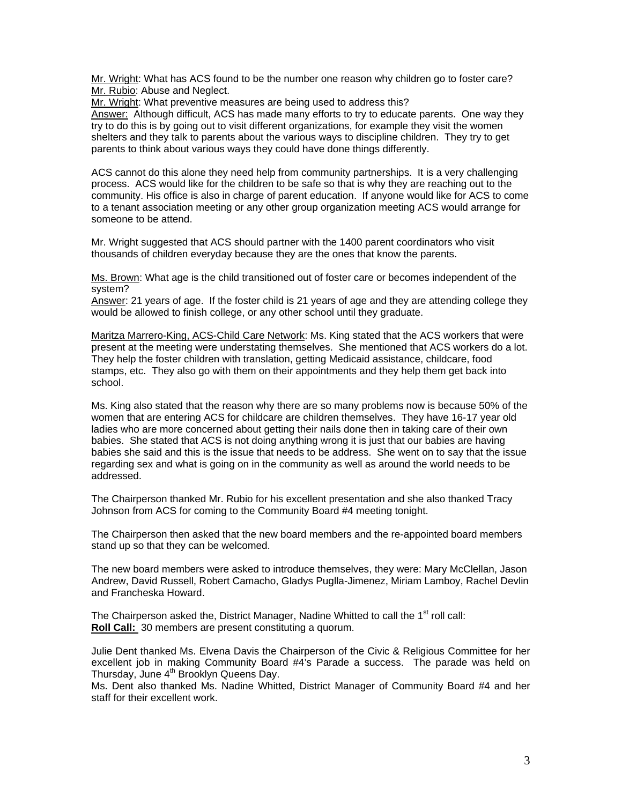Mr. Wright: What has ACS found to be the number one reason why children go to foster care? Mr. Rubio: Abuse and Neglect.

Mr. Wright: What preventive measures are being used to address this? Answer: Although difficult, ACS has made many efforts to try to educate parents. One way they try to do this is by going out to visit different organizations, for example they visit the women

shelters and they talk to parents about the various ways to discipline children. They try to get parents to think about various ways they could have done things differently.

ACS cannot do this alone they need help from community partnerships. It is a very challenging process. ACS would like for the children to be safe so that is why they are reaching out to the community. His office is also in charge of parent education. If anyone would like for ACS to come to a tenant association meeting or any other group organization meeting ACS would arrange for someone to be attend.

Mr. Wright suggested that ACS should partner with the 1400 parent coordinators who visit thousands of children everyday because they are the ones that know the parents.

Ms. Brown: What age is the child transitioned out of foster care or becomes independent of the system?

Answer: 21 years of age. If the foster child is 21 years of age and they are attending college they would be allowed to finish college, or any other school until they graduate.

Maritza Marrero-King, ACS-Child Care Network: Ms. King stated that the ACS workers that were present at the meeting were understating themselves. She mentioned that ACS workers do a lot. They help the foster children with translation, getting Medicaid assistance, childcare, food stamps, etc. They also go with them on their appointments and they help them get back into school.

Ms. King also stated that the reason why there are so many problems now is because 50% of the women that are entering ACS for childcare are children themselves. They have 16-17 year old ladies who are more concerned about getting their nails done then in taking care of their own babies. She stated that ACS is not doing anything wrong it is just that our babies are having babies she said and this is the issue that needs to be address. She went on to say that the issue regarding sex and what is going on in the community as well as around the world needs to be addressed.

The Chairperson thanked Mr. Rubio for his excellent presentation and she also thanked Tracy Johnson from ACS for coming to the Community Board #4 meeting tonight.

The Chairperson then asked that the new board members and the re-appointed board members stand up so that they can be welcomed.

The new board members were asked to introduce themselves, they were: Mary McClellan, Jason Andrew, David Russell, Robert Camacho, Gladys Puglla-Jimenez, Miriam Lamboy, Rachel Devlin and Francheska Howard.

The Chairperson asked the, District Manager, Nadine Whitted to call the 1<sup>st</sup> roll call: **Roll Call:** 30 members are present constituting a quorum.

Julie Dent thanked Ms. Elvena Davis the Chairperson of the Civic & Religious Committee for her excellent job in making Community Board #4's Parade a success. The parade was held on Thursday, June 4<sup>th</sup> Brooklyn Queens Day.

Ms. Dent also thanked Ms. Nadine Whitted, District Manager of Community Board #4 and her staff for their excellent work.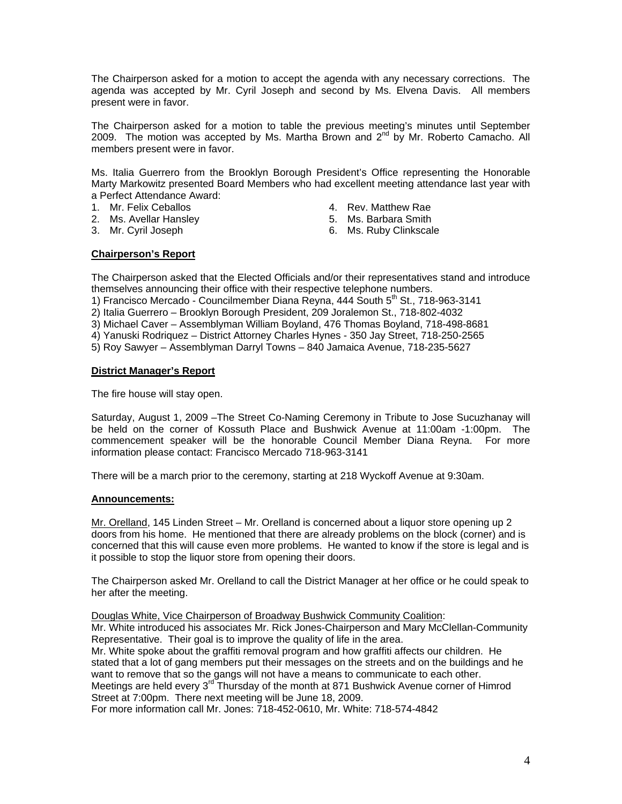The Chairperson asked for a motion to accept the agenda with any necessary corrections. The agenda was accepted by Mr. Cyril Joseph and second by Ms. Elvena Davis. All members present were in favor.

The Chairperson asked for a motion to table the previous meeting's minutes until September 2009. The motion was accepted by Ms. Martha Brown and  $2<sup>nd</sup>$  by Mr. Roberto Camacho. All members present were in favor.

Ms. Italia Guerrero from the Brooklyn Borough President's Office representing the Honorable Marty Markowitz presented Board Members who had excellent meeting attendance last year with a Perfect Attendance Award:

- 1. Mr. Felix Ceballos
- 2. Ms. Avellar Hansley
- 3. Mr. Cyril Joseph
- 4. Rev. Matthew Rae
- 5. Ms. Barbara Smith
	- 6. Ms. Ruby Clinkscale

# **Chairperson's Report**

The Chairperson asked that the Elected Officials and/or their representatives stand and introduce themselves announcing their office with their respective telephone numbers.

- 1) Francisco Mercado Councilmember Diana Reyna, 444 South 5<sup>th</sup> St., 718-963-3141
- 2) Italia Guerrero Brooklyn Borough President, 209 Joralemon St., 718-802-4032

3) Michael Caver – Assemblyman William Boyland, 476 Thomas Boyland, 718-498-8681

4) Yanuski Rodriquez – District Attorney Charles Hynes - 350 Jay Street, 718-250-2565

5) Roy Sawyer – Assemblyman Darryl Towns – 840 Jamaica Avenue, 718-235-5627

## **District Manager's Report**

The fire house will stay open.

Saturday, August 1, 2009 –The Street Co-Naming Ceremony in Tribute to Jose Sucuzhanay will be held on the corner of Kossuth Place and Bushwick Avenue at 11:00am -1:00pm. The commencement speaker will be the honorable Council Member Diana Reyna. For more information please contact: Francisco Mercado 718-963-3141

There will be a march prior to the ceremony, starting at 218 Wyckoff Avenue at 9:30am.

## **Announcements:**

Mr. Orelland, 145 Linden Street – Mr. Orelland is concerned about a liquor store opening up 2 doors from his home. He mentioned that there are already problems on the block (corner) and is concerned that this will cause even more problems. He wanted to know if the store is legal and is it possible to stop the liquor store from opening their doors.

The Chairperson asked Mr. Orelland to call the District Manager at her office or he could speak to her after the meeting.

Douglas White, Vice Chairperson of Broadway Bushwick Community Coalition: Mr. White introduced his associates Mr. Rick Jones-Chairperson and Mary McClellan-Community Representative. Their goal is to improve the quality of life in the area. Mr. White spoke about the graffiti removal program and how graffiti affects our children. He stated that a lot of gang members put their messages on the streets and on the buildings and he want to remove that so the gangs will not have a means to communicate to each other. Meetings are held every 3<sup>rd</sup> Thursday of the month at 871 Bushwick Avenue corner of Himrod Street at 7:00pm. There next meeting will be June 18, 2009. For more information call Mr. Jones: 718-452-0610, Mr. White: 718-574-4842